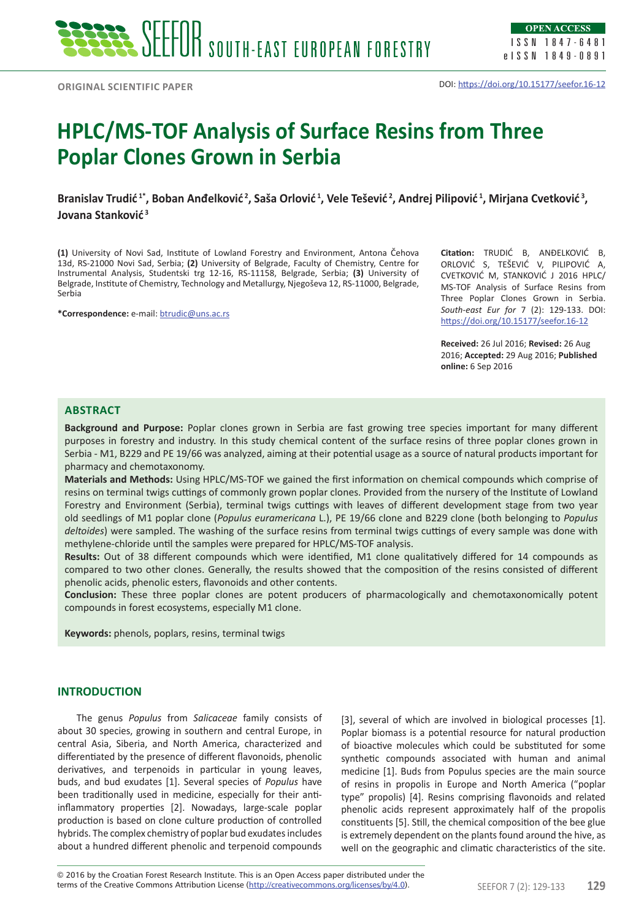**Original scientific paper**

# **HPLC/MS-TOF Analysis of Surface Resins from Three Poplar Clones Grown in Serbia**

**Branislav Trudić 1\*, Boban Anđelković<sup>2</sup>, Saša Orlović<sup>1</sup>, Vele Tešević<sup>2</sup>, Andrej Pilipović<sup>1</sup>, Mirjana Cvetković 3, Jovana Stanković<sup>3</sup>**

**(1)** University of Novi Sad, Institute of Lowland Forestry and Environment, Antona Čehova 13d, RS-21000 Novi Sad, Serbia; **(2)** University of Belgrade, Faculty of Chemistry, Centre for Instrumental Analysis, Studentski trg 12-16, RS-11158, Belgrade, Serbia; **(3)** University of Belgrade, Institute of Chemistry, Technology and Metallurgy, Njegoševa 12, RS-11000, Belgrade, Serbia

**\*Correspondence:** e-mail: btrudic@uns.ac.rs

**Citation:** TRUDIĆ B, ANĐELKOVIĆ B, ORLOVIĆ S, TEŠEVIĆ V, PILIPOVIĆ A, CVETKOVIĆ M, STANKOVIĆ J 2016 HPLC/ MS-TOF Analysis of Surface Resins from Three Poplar Clones Grown in Serbia. *South-east Eur for* 7 (2): 129-133. DOI: https://doi.org/10.15177/seefor.16-12

**Received:** 26 Jul 2016; **Revised:** 26 Aug 2016; **Accepted:** 29 Aug 2016; **Published online:** 6 Sep 2016

## **Abstract**

**Background and Purpose:** Poplar clones grown in Serbia are fast growing tree species important for many different purposes in forestry and industry. In this study chemical content of the surface resins of three poplar clones grown in Serbia - M1, B229 and PE 19/66 was analyzed, aiming at their potential usage as a source of natural products important for pharmacy and chemotaxonomy.

**Materials and Methods:** Using HPLC/MS-TOF we gained the first information on chemical compounds which comprise of resins on terminal twigs cuttings of commonly grown poplar clones. Provided from the nursery of the Institute of Lowland Forestry and Environment (Serbia), terminal twigs cuttings with leaves of different development stage from two year old seedlings of M1 poplar clone (*Populus euramericana* L.), PE 19/66 clone and B229 clone (both belonging to *Populus deltoides*) were sampled. The washing of the surface resins from terminal twigs cuttings of every sample was done with methylene-chloride until the samples were prepared for HPLC/MS-TOF analysis.

**Results:** Out of 38 different compounds which were identified, M1 clone qualitatively differed for 14 compounds as compared to two other clones. Generally, the results showed that the composition of the resins consisted of different phenolic acids, phenolic esters, flavonoids and other contents.

**Conclusion:** These three poplar clones are potent producers of pharmacologically and chemotaxonomically potent compounds in forest ecosystems, especially M1 clone.

**Keywords:** phenols, poplars, resins, terminal twigs

## **INTRODUCTION**

The genus *Populus* from *Salicaceae* family consists of about 30 species, growing in southern and central Europe, in central Asia, Siberia, and North America, characterized and differentiated by the presence of different flavonoids, phenolic derivatives, and terpenoids in particular in young leaves, buds, and bud exudates [1]. Several species of *Populus* have been traditionally used in medicine, especially for their antiinflammatory properties [2]. Nowadays, large-scale poplar production is based on clone culture production of controlled hybrids. The complex chemistry of poplar bud exudates includes about a hundred different phenolic and terpenoid compounds

[3], several of which are involved in biological processes [1]. Poplar biomass is a potential resource for natural production of bioactive molecules which could be substituted for some synthetic compounds associated with human and animal medicine [1]. Buds from Populus species are the main source of resins in propolis in Europe and North America ("poplar type" propolis) [4]. Resins comprising flavonoids and related phenolic acids represent approximately half of the propolis constituents [5]. Still, the chemical composition of the bee glue is extremely dependent on the plants found around the hive, as well on the geographic and climatic characteristics of the site.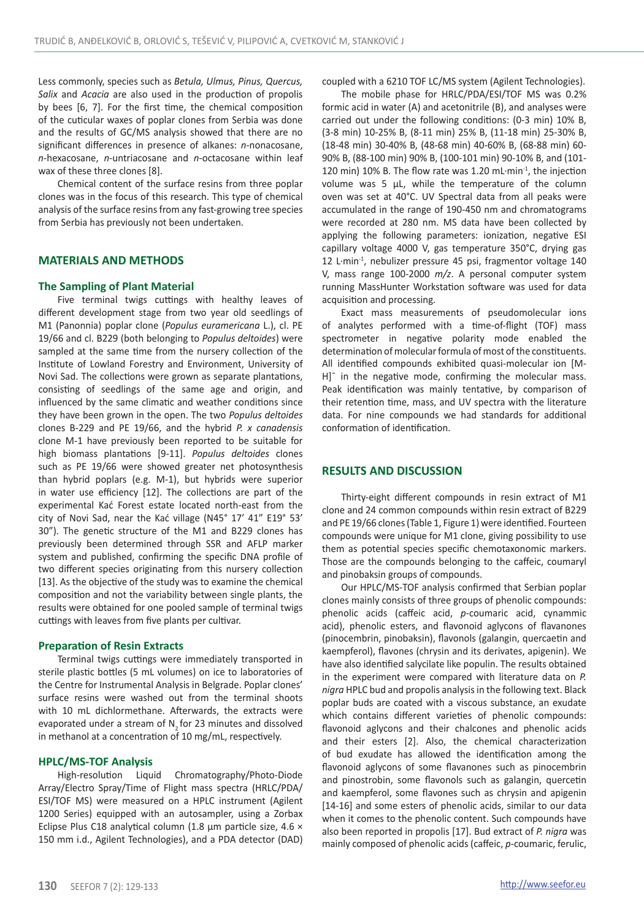Less commonly, species such as *Betula, Ulmus, Pinus, Quercus, Salix* and *Acacia* are also used in the production of propolis by bees [6, 7]. For the first time, the chemical composition of the cuticular waxes of poplar clones from Serbia was done and the results of GC/MS analysis showed that there are no significant differences in presence of alkanes: *n*-nonacosane, *n*-hexacosane, *n*-untriacosane and *n*-octacosane within leaf wax of these three clones [8].

Chemical content of the surface resins from three poplar clones was in the focus of this research. This type of chemical analysis of the surface resins from any fast-growing tree species from Serbia has previously not been undertaken.

## **MATERIALS AND METHODS**

#### **The Sampling of Plant Material**

Five terminal twigs cuttings with healthy leaves of different development stage from two year old seedlings of M1 (Panonnia) poplar clone (*Populus euramericana* L.), cl. PE 19/66 and cl. B229 (both belonging to *Populus deltoides*) were sampled at the same time from the nursery collection of the Institute of Lowland Forestry and Environment, University of Novi Sad. The collections were grown as separate plantations, consisting of seedlings of the same age and origin, and influenced by the same climatic and weather conditions since they have been grown in the open. The two *Populus deltoides* clones B-229 and PE 19/66, and the hybrid *P. x canadensis* clone M-1 have previously been reported to be suitable for high biomass plantations [9-11]. *Populus deltoides* clones such as PE 19/66 were showed greater net photosynthesis than hybrid poplars (e.g. M-1), but hybrids were superior in water use efficiency [12]. The collections are part of the experimental Kać Forest estate located north-east from the city of Novi Sad, near the Kać village (N45° 17' 41" E19° 53' 30"). The genetic structure of the M1 and B229 clones has previously been determined through SSR and AFLP marker system and published, confirming the specific DNA profile of two different species originating from this nursery collection [13]. As the objective of the study was to examine the chemical composition and not the variability between single plants, the results were obtained for one pooled sample of terminal twigs cuttings with leaves from five plants per cultivar.

#### **Preparation of Resin Extracts**

Terminal twigs cuttings were immediately transported in sterile plastic bottles (5 mL volumes) on ice to laboratories of the Centre for Instrumental Analysis in Belgrade. Poplar clones' surface resins were washed out from the terminal shoots with 10 mL dichlormethane. Afterwards, the extracts were evaporated under a stream of  $N<sub>2</sub>$  for 23 minutes and dissolved in methanol at a concentration of 10 mg/mL, respectively.

#### **HPLC/MS-TOF Analysis**

High-resolution Liquid Chromatography/Photo-Diode Array/Electro Spray/Time of Flight mass spectra (HRLC/PDA/ ESI/TOF MS) were measured on a HPLC instrument (Agilent 1200 Series) equipped with an autosampler, using a Zorbax Eclipse Plus C18 analytical column (1.8  $\mu$ m particle size, 4.6  $\times$ 150 mm i.d., Agilent Technologies), and a PDA detector (DAD) coupled with a 6210 TOF LC/MS system (Agilent Technologies).

The mobile phase for HRLC/PDA/ESI/TOF MS was 0.2% formic acid in water (A) and acetonitrile (B), and analyses were carried out under the following conditions: (0-3 min) 10% B, (3-8 min) 10-25% B, (8-11 min) 25% B, (11-18 min) 25-30% B, (18-48 min) 30-40% B, (48-68 min) 40-60% B, (68-88 min) 60- 90% B, (88-100 min) 90% B, (100-101 min) 90-10% B, and (101- 120 min) 10% B. The flow rate was 1.20 mL·min<sup>-1</sup>, the injection volume was 5 μL, while the temperature of the column oven was set at 40°C. UV Spectral data from all peaks were accumulated in the range of 190-450 nm and chromatograms were recorded at 280 nm. MS data have been collected by applying the following parameters: ionization, negative ESI capillary voltage 4000 V, gas temperature 350°C, drying gas 12 L·min<sup>-1</sup>, nebulizer pressure 45 psi, fragmentor voltage 140 V, mass range 100-2000 *m/z*. A personal computer system running MassHunter Workstation software was used for data acquisition and processing.

Exact mass measurements of pseudomolecular ions of analytes performed with a time-of-flight (TOF) mass spectrometer in negative polarity mode enabled the determination of molecular formula of most of the constituents. All identified compounds exhibited quasi-molecular ion [M-H]<sup>-</sup> in the negative mode, confirming the molecular mass. Peak identification was mainly tentative, by comparison of their retention time, mass, and UV spectra with the literature data. For nine compounds we had standards for additional conformation of identification.

#### **RESULTS AND DISCUSSION**

Thirty-eight different compounds in resin extract of M1 clone and 24 common compounds within resin extract of B229 and PE 19/66 clones (Table 1, Figure 1) were identified. Fourteen compounds were unique for M1 clone, giving possibility to use them as potential species specific chemotaxonomic markers. Those are the compounds belonging to the caffeic, coumaryl and pinobaksin groups of compounds.

Our HPLC/MS-TOF analysis confirmed that Serbian poplar clones mainly consists of three groups of phenolic compounds: phenolic acids (caffeic acid, *p*-coumaric acid, cynammic acid), phenolic esters, and flavonoid aglycons of flavanones (pinocembrin, pinobaksin), flavonols (galangin, quercaetin and kaempferol), flavones (chrysin and its derivates, apigenin). We have also identified salycilate like populin. The results obtained in the experiment were compared with literature data on *P. nigra* HPLC bud and propolis analysis in the following text. Black poplar buds are coated with a viscous substance, an exudate which contains different varieties of phenolic compounds: flavonoid aglycons and their chalcones and phenolic acids and their esters [2]. Also, the chemical characterization of bud exudate has allowed the identification among the flavonoid aglycons of some flavanones such as pinocembrin and pinostrobin, some flavonols such as galangin, quercetin and kaempferol, some flavones such as chrysin and apigenin [14-16] and some esters of phenolic acids, similar to our data when it comes to the phenolic content. Such compounds have also been reported in propolis [17]. Bud extract of *P. nigra* was mainly composed of phenolic acids (caffeic, *p*-coumaric, ferulic,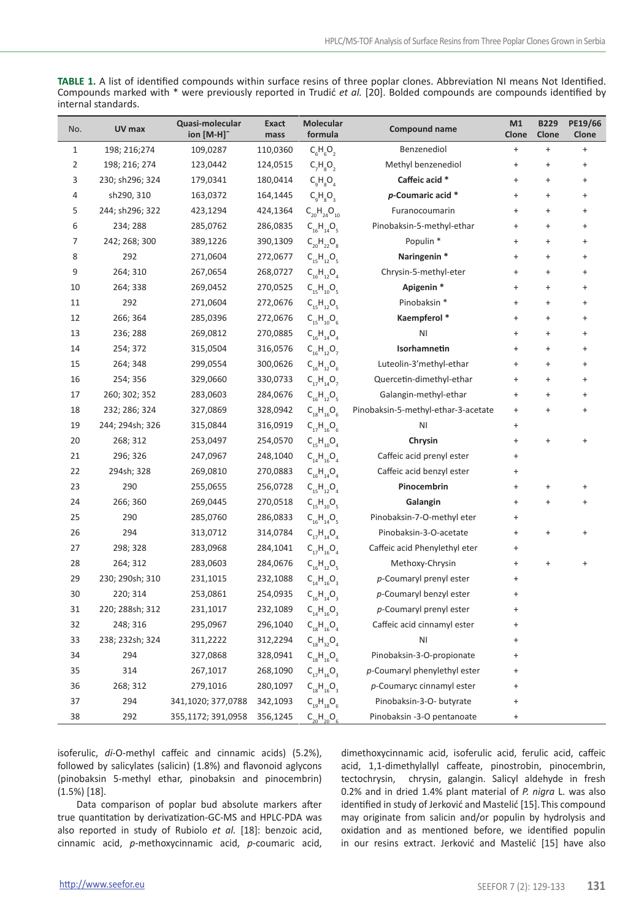**TABLE 1.** A list of identified compounds within surface resins of three poplar clones. Abbreviation NI means Not Identified. Compounds marked with \* were previously reported in Trudić *et al.* [20]. Bolded compounds are compounds identified by internal standards.

| No.            | UV max          | Quasi-molecular<br>ion [M-H] <sup>-</sup> | Exact<br>mass | Molecular<br>formula | Compound name                       | M1<br>Clone                      | <b>B229</b><br>Clone             | PE19/66<br>Clone |
|----------------|-----------------|-------------------------------------------|---------------|----------------------|-------------------------------------|----------------------------------|----------------------------------|------------------|
| $\mathbf{1}$   | 198; 216; 274   | 109,0287                                  | 110,0360      | $C_6H_6O_2$          | Benzenediol                         | $\ddot{}$                        | $\ddot{}$                        | $\ddot{}$        |
| $\overline{2}$ | 198; 216; 274   | 123,0442                                  | 124,0515      | $C_7H_8O_7$          | Methyl benzenediol                  | $\ddot{}$                        | $\ddot{}$                        | $\ddot{}$        |
| 3              | 230; sh296; 324 | 179,0341                                  | 180,0414      | $C_qH_8O_4$          | Caffeic acid *                      | $\ddot{}$                        | $\ddot{}$                        | $\ddot{}$        |
| 4              | sh290, 310      | 163,0372                                  | 164,1445      | $C_qH_qO_q$          | p-Coumaric acid *                   | $\ddot{}$                        | $\ddot{}$                        | $\ddot{}$        |
| 5              | 244; sh296; 322 | 423,1294                                  | 424,1364      | $C_{20}H_{24}O_{10}$ | Furanocoumarin                      | $\ddot{}$                        | $\ddot{}$                        | $\ddot{}$        |
| 6              | 234; 288        | 285,0762                                  | 286,0835      | $C_{16}H_{14}O_5$    | Pinobaksin-5-methyl-ethar           | $\ddot{}$                        | $\ddot{}$                        | $\ddot{}$        |
| $\overline{7}$ | 242; 268; 300   | 389,1226                                  | 390,1309      | $C_{20}H_{22}O_{8}$  | Populin <sup>*</sup>                | $\ddot{}$                        | $\ddot{}$                        | $\ddot{}$        |
| 8              | 292             | 271,0604                                  | 272,0677      | $C_{15}H_{12}O_{5}$  | Naringenin *                        | $\ddot{}$                        | $\ddot{}$                        | $\ddot{}$        |
| 9              | 264; 310        | 267,0654                                  | 268,0727      | $C_{16}H_{12}O_4$    | Chrysin-5-methyl-eter               | $\ddot{}$                        | $\begin{array}{c} + \end{array}$ | $\ddot{}$        |
| 10             | 264; 338        | 269,0452                                  | 270,0525      | $C_{15}H_{10}O_{5}$  | Apigenin <sup>*</sup>               | $\ddot{}$                        | $+$                              | $\ddot{}$        |
| 11             | 292             | 271,0604                                  | 272,0676      | $C_{15}H_{12}O_5$    | Pinobaksin *                        | $\ddot{}$                        | $\ddot{}$                        | $\ddot{}$        |
| 12             | 266; 364        | 285,0396                                  | 272,0676      | $C_{15}H_{10}O_6$    | Kaempferol *                        | $\ddot{}$                        | $\ddot{}$                        | $\ddot{}$        |
| 13             | 236; 288        | 269,0812                                  | 270,0885      | $C_{16}H_{14}O_4$    | ΝI                                  | $\ddot{}$                        | $\ddot{}$                        | $\ddot{}$        |
| 14             | 254; 372        | 315,0504                                  | 316,0576      | $C_{16}H_{12}O_7$    | Isorhamnetin                        | $\ddot{}$                        | $\ddot{}$                        | $\ddot{}$        |
| 15             | 264; 348        | 299,0554                                  | 300,0626      | $C_{16}H_{12}O_6$    | Luteolin-3'methyl-ethar             | $\ddot{}$                        | $\ddot{}$                        | $\ddot{}$        |
| 16             | 254; 356        | 329,0660                                  | 330,0733      | $C_{17}H_{14}O_7$    | Quercetin-dimethyl-ethar            | $\ddot{}$                        | $+$                              | $\ddot{}$        |
| 17             | 260; 302; 352   | 283,0603                                  | 284,0676      | $C_{16}H_{12}O_5$    | Galangin-methyl-ethar               | $\ddot{}$                        | $\ddot{}$                        | $\ddot{}$        |
| 18             | 232; 286; 324   | 327,0869                                  | 328,0942      | $C_{18}H_{16}O_6$    | Pinobaksin-5-methyl-ethar-3-acetate | $\ddot{}$                        | $\ddot{}$                        | $\ddot{}$        |
| 19             | 244; 294sh; 326 | 315,0844                                  | 316,0919      | $C_{17}H_{16}O_6$    | ΝI                                  | $\ddot{}$                        |                                  |                  |
| 20             | 268; 312        | 253,0497                                  | 254,0570      | $C_{15}H_{10}O_4$    | Chrysin                             | $\ddot{}$                        | $\ddot{}$                        | $\ddot{}$        |
| 21             | 296; 326        | 247,0967                                  | 248,1040      | $C_{14}H_{16}O_4$    | Caffeic acid prenyl ester           | $\ddot{}$                        |                                  |                  |
| 22             | 294sh; 328      | 269,0810                                  | 270,0883      | $C_{16}H_{14}O_4$    | Caffeic acid benzyl ester           | $\qquad \qquad +$                |                                  |                  |
| 23             | 290             | 255,0655                                  | 256,0728      | $C_{15}H_{12}O_4$    | Pinocembrin                         | $\ddot{}$                        | $\ddot{}$                        |                  |
| 24             | 266; 360        | 269,0445                                  | 270,0518      | $C_{15}H_{10}O_{5}$  | Galangin                            | $\ddot{}$                        | $\ddot{}$                        | $\ddot{}$        |
| 25             | 290             | 285,0760                                  | 286,0833      | $C_{16}H_{14}O_5$    | Pinobaksin-7-O-methyl eter          | $\ddot{}$                        |                                  |                  |
| 26             | 294             | 313,0712                                  | 314,0784      | $C_{17}H_{14}O_4$    | Pinobaksin-3-O-acetate              | $\ddot{}$                        | $\ddot{}$                        | $\ddot{}$        |
| 27             | 298; 328        | 283,0968                                  | 284,1041      | $C_{17}H_{16}O_4$    | Caffeic acid Phenylethyl eter       | $\ddot{}$                        |                                  |                  |
| 28             | 264; 312        | 283,0603                                  | 284,0676      | $C_{16}H_{12}O_5$    | Methoxy-Chrysin                     | $\ddot{}$                        | $+$                              |                  |
| 29             | 230; 290sh; 310 | 231,1015                                  | 232,1088      | $C_{14}H_{16}O_3$    | p-Coumaryl prenyl ester             | $\ddot{}$                        |                                  |                  |
| 30             | 220; 314        | 253,0861                                  | 254,0935      | $C_{16}H_{14}O_3$    | p-Coumaryl benzyl ester             | $\ddot{}$                        |                                  |                  |
| 31             | 220; 288sh; 312 | 231,1017                                  | 232,1089      | $C_{14}H_{16}O_3$    | p-Coumaryl prenyl ester             | $\ddot{}$                        |                                  |                  |
| 32             | 248; 316        | 295,0967                                  | 296,1040      | $C_{18}H_{16}O_4$    | Caffeic acid cinnamyl ester         | $\qquad \qquad +$                |                                  |                  |
| 33             | 238; 232sh; 324 | 311,2222                                  | 312,2294      | $C_{18}H_{32}O_4$    | N <sub>1</sub>                      | $\ddot{}$                        |                                  |                  |
| 34             | 294             | 327,0868                                  | 328,0941      | $C_{18}H_{16}O_6$    | Pinobaksin-3-O-propionate           | $\ddot{}$                        |                                  |                  |
| 35             | 314             | 267,1017                                  | 268,1090      | $C_{17}H_{16}O_3$    | p-Coumaryl phenylethyl ester        | $\ddot{}$                        |                                  |                  |
| 36             | 268; 312        | 279,1016                                  | 280,1097      | $C_{18}H_{16}O_3$    | p-Coumaryc cinnamyl ester           | $\begin{array}{c} + \end{array}$ |                                  |                  |
| 37             | 294             | 341,1020; 377,0788                        | 342,1093      | $C_{19}H_{18}O_6$    | Pinobaksin-3-O- butyrate            | $\ddot{}$                        |                                  |                  |
| 38             | 292             | 355,1172; 391,0958                        | 356,1245      | $C_{20}H_{20}O$      | Pinobaksin -3-O pentanoate          | $\ddot{}$                        |                                  |                  |

isoferulic, *di*-O-methyl caffeic and cinnamic acids) (5.2%), followed by salicylates (salicin) (1.8%) and flavonoid aglycons (pinobaksin 5-methyl ethar, pinobaksin and pinocembrin) (1.5%) [18].

Data comparison of poplar bud absolute markers after true quantitation by derivatization-GC-MS and HPLC-PDA was also reported in study of Rubiolo *et al.* [18]: benzoic acid, cinnamic acid, *p*-methoxycinnamic acid, *p*-coumaric acid,

dimethoxycinnamic acid, isoferulic acid, ferulic acid, caffeic acid, 1,1-dimethylallyl caffeate, pinostrobin, pinocembrin, tectochrysin, chrysin, galangin. Salicyl aldehyde in fresh 0.2% and in dried 1.4% plant material of *P. nigra* L. was also identified in study of Jerković and Mastelić [15].This compound may originate from salicin and/or populin by hydrolysis and oxidation and as mentioned before, we identified populin in our resins extract. Jerković and Mastelić [15] have also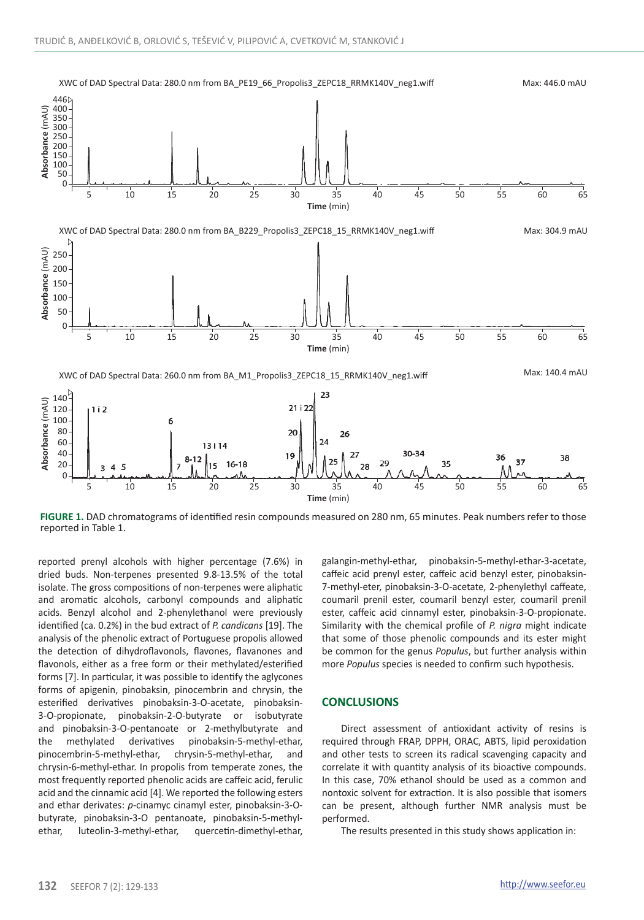

**FIGURE 1.** DAD chromatograms of identified resin compounds measured on 280 nm, 65 minutes. Peak numbers refer to those reported in Table 1.

reported prenyl alcohols with higher percentage (7.6%) in dried buds. Non-terpenes presented 9.8-13.5% of the total isolate. The gross compositions of non-terpenes were aliphatic and aromatic alcohols, carbonyl compounds and aliphatic acids. Benzyl alcohol and 2-phenylethanol were previously identified (ca. 0.2%) in the bud extract of *P. candicans* [19]. The analysis of the phenolic extract of Portuguese propolis allowed the detection of dihydroflavonols, flavones, flavanones and flavonols, either as a free form or their methylated/esterified forms [7]. In particular, it was possible to identify the aglycones forms of apigenin, pinobaksin, pinocembrin and chrysin, the esterified derivatives pinobaksin-3-O-acetate, pinobaksin-3-O-propionate, pinobaksin-2-O-butyrate or isobutyrate and pinobaksin-3-O-pentanoate or 2-methylbutyrate and the methylated derivatives pinobaksin-5-methyl-ethar, pinocembrin-5-methyl-ethar, chrysin-5-methyl-ethar, and chrysin-6-methyl-ethar. In propolis from temperate zones, the most frequently reported phenolic acids are caffeic acid, ferulic acid and the cinnamic acid [4]. We reported the following esters and ethar derivates: *p*-cinamyc cinamyl ester, pinobaksin-3-Obutyrate, pinobaksin-3-O pentanoate, pinobaksin-5-methylethar, luteolin-3-methyl-ethar, quercetin-dimethyl-ethar,

galangin-methyl-ethar, pinobaksin-5-methyl-ethar-3-acetate, caffeic acid prenyl ester, caffeic acid benzyl ester, pinobaksin-7-methyl-eter, pinobaksin-3-O-acetate, 2-phenylethyl caffeate, coumaril prenil ester, coumaril benzyl ester, coumaril prenil ester, caffeic acid cinnamyl ester, pinobaksin-3-O-propionate. Similarity with the chemical profile of *P. nigra* might indicate that some of those phenolic compounds and its ester might be common for the genus *Populus*, but further analysis within more *Populus* species is needed to confirm such hypothesis.

#### **CONCLUSIONS**

Direct assessment of antioxidant activity of resins is required through FRAP, DPPH, ORAC, ABTS, lipid peroxidation and other tests to screen its radical scavenging capacity and correlate it with quantity analysis of its bioactive compounds. In this case, 70% ethanol should be used as a common and nontoxic solvent for extraction. It is also possible that isomers can be present, although further NMR analysis must be performed.

The results presented in this study shows application in: